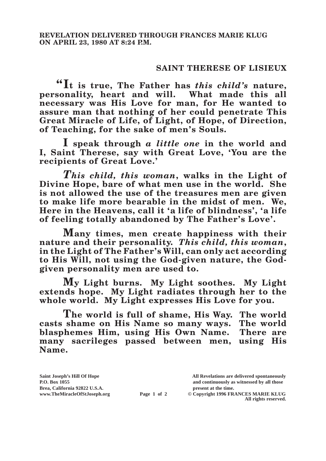## **SAINT THERESE OF LISIEUX**

**"It is true, The Father has** *this child's* **nature, personality, heart and will. necessary was His Love for man, for He wanted to assure man that nothing of her could penetrate This Great Miracle of Life, of Light, of Hope, of Direction, of Teaching, for the sake of men's Souls.**

**I speak through** *a little one* **in the world and I, Saint Therese, say with Great Love, 'You are the recipients of Great Love.'**

*This child, this woman***, walks in the Light of Divine Hope, bare of what men use in the world. She is not allowed the use of the treasures men are given to make life more bearable in the midst of men. We, Here in the Heavens, call it 'a life of blindness', 'a life of feeling totally abandoned by The Father's Love'.**

**Many times, men create happiness with their nature and their personality.** *This child, this woman***, in the Light of The Father's Will, can only act according to His Will, not using the God-given nature, the Godgiven personality men are used to.**

**My Light burns. My Light soothes. My Light extends hope. My Light radiates through her to the whole world. My Light expresses His Love for you.**

**The world is full of shame, His Way. The world casts shame on His Name so many ways. The world blasphemes Him, using His Own Name. There are many sacrileges passed between men, using His Name.**

**Saint Joseph's Hill Of Hope All Revelations are delivered spontaneously P.O. Box 1055 and continuously as witnessed by all those** 

**Page 1 of 2** © Copyright 1996 FRANCES MARIE KLUG **All rights reserved.**